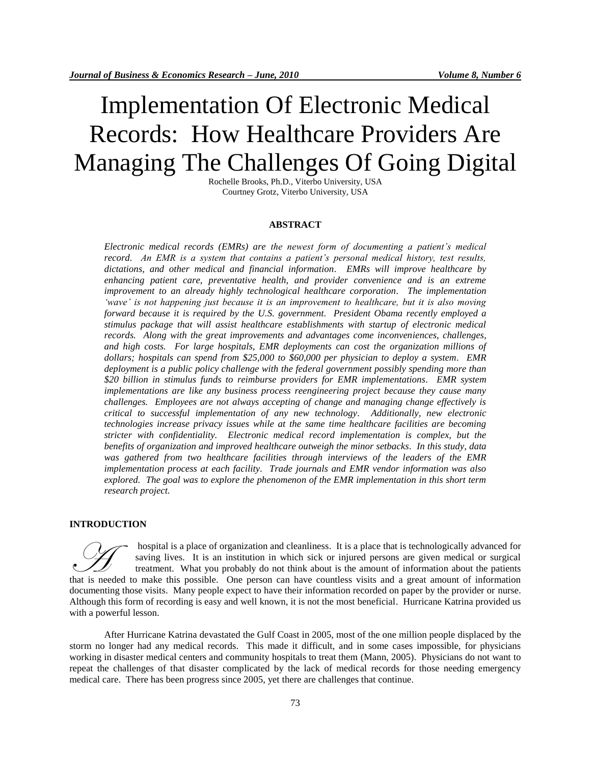# Implementation Of Electronic Medical Records: How Healthcare Providers Are Managing The Challenges Of Going Digital

Rochelle Brooks, Ph.D., Viterbo University, USA Courtney Grotz, Viterbo University, USA

## **ABSTRACT**

*Electronic medical records (EMRs) are the newest form of documenting a patient's medical record. An EMR is a system that contains a patient's personal medical history, test results, dictations, and other medical and financial information. EMRs will improve healthcare by enhancing patient care, preventative health, and provider convenience and is an extreme improvement to an already highly technological healthcare corporation. The implementation 'wave' is not happening just because it is an improvement to healthcare, but it is also moving forward because it is required by the U.S. government. President Obama recently employed a stimulus package that will assist healthcare establishments with startup of electronic medical records. Along with the great improvements and advantages come inconveniences, challenges, and high costs. For large hospitals, EMR deployments can cost the organization millions of dollars; hospitals can spend from \$25,000 to \$60,000 per physician to deploy a system. EMR deployment is a public policy challenge with the federal government possibly spending more than \$20 billion in stimulus funds to reimburse providers for EMR implementations. EMR system implementations are like any business process reengineering project because they cause many challenges. Employees are not always accepting of change and managing change effectively is critical to successful implementation of any new technology. Additionally, new electronic technologies increase privacy issues while at the same time healthcare facilities are becoming stricter with confidentiality. Electronic medical record implementation is complex, but the benefits of organization and improved healthcare outweigh the minor setbacks. In this study, data was gathered from two healthcare facilities through interviews of the leaders of the EMR implementation process at each facility. Trade journals and EMR vendor information was also explored. The goal was to explore the phenomenon of the EMR implementation in this short term research project.*

## **INTRODUCTION**

hospital is a place of organization and cleanliness. It is a place that is technologically advanced for saving lives. It is an institution in which sick or injured persons are given medical or surgical treatment. What you probably do not think about is the amount of information about the patients that is a place of organization and cleanliness. It is a place that is technologically advanced for saving lives. It is an institution in which sick or injured persons are given medical or surgical treatment. What you prob documenting those visits. Many people expect to have their information recorded on paper by the provider or nurse. Although this form of recording is easy and well known, it is not the most beneficial. Hurricane Katrina provided us with a powerful lesson.

After Hurricane Katrina devastated the Gulf Coast in 2005, most of the one million people displaced by the storm no longer had any medical records. This made it difficult, and in some cases impossible, for physicians working in disaster medical centers and community hospitals to treat them (Mann, 2005). Physicians do not want to repeat the challenges of that disaster complicated by the lack of medical records for those needing emergency medical care. There has been progress since 2005, yet there are challenges that continue.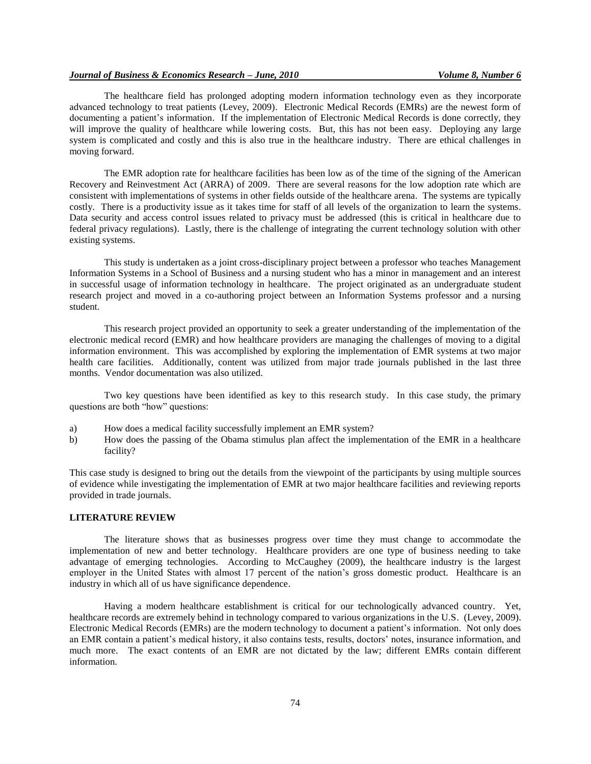The healthcare field has prolonged adopting modern information technology even as they incorporate advanced technology to treat patients (Levey, 2009). Electronic Medical Records (EMRs) are the newest form of documenting a patient's information. If the implementation of Electronic Medical Records is done correctly, they will improve the quality of healthcare while lowering costs. But, this has not been easy. Deploying any large system is complicated and costly and this is also true in the healthcare industry. There are ethical challenges in moving forward.

The EMR adoption rate for healthcare facilities has been low as of the time of the signing of the American Recovery and Reinvestment Act (ARRA) of 2009. There are several reasons for the low adoption rate which are consistent with implementations of systems in other fields outside of the healthcare arena. The systems are typically costly. There is a productivity issue as it takes time for staff of all levels of the organization to learn the systems. Data security and access control issues related to privacy must be addressed (this is critical in healthcare due to federal privacy regulations). Lastly, there is the challenge of integrating the current technology solution with other existing systems.

This study is undertaken as a joint cross-disciplinary project between a professor who teaches Management Information Systems in a School of Business and a nursing student who has a minor in management and an interest in successful usage of information technology in healthcare. The project originated as an undergraduate student research project and moved in a co-authoring project between an Information Systems professor and a nursing student.

This research project provided an opportunity to seek a greater understanding of the implementation of the electronic medical record (EMR) and how healthcare providers are managing the challenges of moving to a digital information environment. This was accomplished by exploring the implementation of EMR systems at two major health care facilities. Additionally, content was utilized from major trade journals published in the last three months. Vendor documentation was also utilized.

Two key questions have been identified as key to this research study. In this case study, the primary questions are both "how" questions:

- a) How does a medical facility successfully implement an EMR system?
- b) How does the passing of the Obama stimulus plan affect the implementation of the EMR in a healthcare facility?

This case study is designed to bring out the details from the viewpoint of the participants by using multiple sources of evidence while investigating the implementation of EMR at two major healthcare facilities and reviewing reports provided in trade journals.

#### **LITERATURE REVIEW**

The literature shows that as businesses progress over time they must change to accommodate the implementation of new and better technology. Healthcare providers are one type of business needing to take advantage of emerging technologies. According to McCaughey (2009), the healthcare industry is the largest employer in the United States with almost 17 percent of the nation's gross domestic product. Healthcare is an industry in which all of us have significance dependence.

Having a modern healthcare establishment is critical for our technologically advanced country. Yet, healthcare records are extremely behind in technology compared to various organizations in the U.S. (Levey, 2009). Electronic Medical Records (EMRs) are the modern technology to document a patient's information. Not only does an EMR contain a patient's medical history, it also contains tests, results, doctors' notes, insurance information, and much more. The exact contents of an EMR are not dictated by the law; different EMRs contain different information.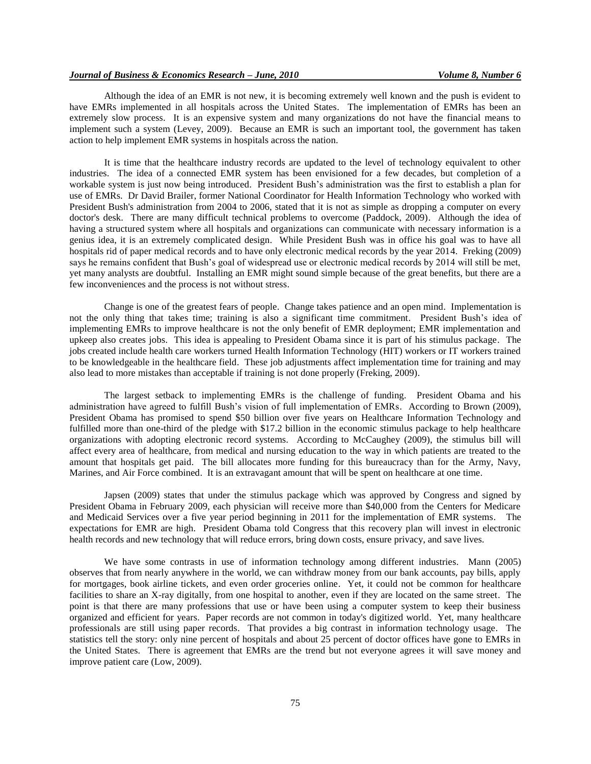Although the idea of an EMR is not new, it is becoming extremely well known and the push is evident to have EMRs implemented in all hospitals across the United States. The implementation of EMRs has been an extremely slow process. It is an expensive system and many organizations do not have the financial means to implement such a system (Levey, 2009). Because an EMR is such an important tool, the government has taken action to help implement EMR systems in hospitals across the nation.

It is time that the healthcare industry records are updated to the level of technology equivalent to other industries. The idea of a connected EMR system has been envisioned for a few decades, but completion of a workable system is just now being introduced. President Bush's administration was the first to establish a plan for use of EMRs. Dr David Brailer, former National Coordinator for Health Information Technology who worked with President Bush's administration from 2004 to 2006, stated that it is not as simple as dropping a computer on every doctor's desk. There are many difficult technical problems to overcome (Paddock, 2009). Although the idea of having a structured system where all hospitals and organizations can communicate with necessary information is a genius idea, it is an extremely complicated design. While President Bush was in office his goal was to have all hospitals rid of paper medical records and to have only electronic medical records by the year 2014. Freking (2009) says he remains confident that Bush's goal of widespread use or electronic medical records by 2014 will still be met, yet many analysts are doubtful. Installing an EMR might sound simple because of the great benefits, but there are a few inconveniences and the process is not without stress.

Change is one of the greatest fears of people. Change takes patience and an open mind. Implementation is not the only thing that takes time; training is also a significant time commitment. President Bush's idea of implementing EMRs to improve healthcare is not the only benefit of EMR deployment; EMR implementation and upkeep also creates jobs. This idea is appealing to President Obama since it is part of his stimulus package. The jobs created include health care workers turned Health Information Technology (HIT) workers or IT workers trained to be knowledgeable in the healthcare field. These job adjustments affect implementation time for training and may also lead to more mistakes than acceptable if training is not done properly (Freking, 2009).

The largest setback to implementing EMRs is the challenge of funding. President Obama and his administration have agreed to fulfill Bush's vision of full implementation of EMRs. According to Brown (2009), President Obama has promised to spend \$50 billion over five years on Healthcare Information Technology and fulfilled more than one-third of the pledge with \$17.2 billion in the economic stimulus package to help healthcare organizations with adopting electronic record systems. According to McCaughey (2009), the stimulus bill will affect every area of healthcare, from medical and nursing education to the way in which patients are treated to the amount that hospitals get paid. The bill allocates more funding for this bureaucracy than for the Army, Navy, Marines, and Air Force combined. It is an extravagant amount that will be spent on healthcare at one time.

Japsen (2009) states that under the stimulus package which was approved by Congress and signed by President Obama in February 2009, each physician will receive more than \$40,000 from the Centers for Medicare and Medicaid Services over a five year period beginning in 2011 for the implementation of EMR systems. The expectations for EMR are high. President Obama told Congress that this recovery plan will invest in electronic health records and new technology that will reduce errors, bring down costs, ensure privacy, and save lives.

We have some contrasts in use of information technology among different industries. Mann (2005) observes that from nearly anywhere in the world, we can withdraw money from our bank accounts, pay bills, apply for mortgages, book airline tickets, and even order groceries online. Yet, it could not be common for healthcare facilities to share an X-ray digitally, from one hospital to another, even if they are located on the same street. The point is that there are many professions that use or have been using a computer system to keep their business organized and efficient for years. Paper records are not common in today's digitized world. Yet, many healthcare professionals are still using paper records. That provides a big contrast in information technology usage. The statistics tell the story: only nine percent of hospitals and about 25 percent of doctor offices have gone to EMRs in the United States. There is agreement that EMRs are the trend but not everyone agrees it will save money and improve patient care (Low, 2009).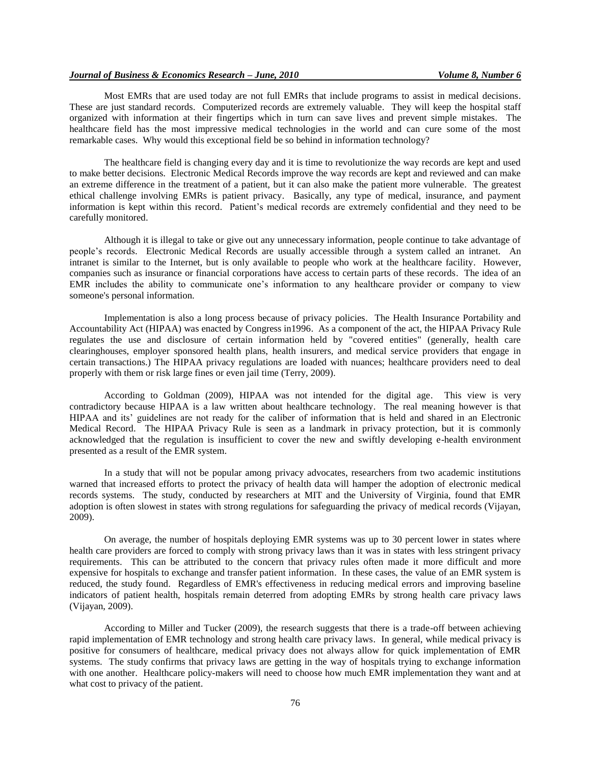Most EMRs that are used today are not full EMRs that include programs to assist in medical decisions. These are just standard records. Computerized records are extremely valuable. They will keep the hospital staff organized with information at their fingertips which in turn can save lives and prevent simple mistakes. The healthcare field has the most impressive medical technologies in the world and can cure some of the most remarkable cases. Why would this exceptional field be so behind in information technology?

The healthcare field is changing every day and it is time to revolutionize the way records are kept and used to make better decisions. Electronic Medical Records improve the way records are kept and reviewed and can make an extreme difference in the treatment of a patient, but it can also make the patient more vulnerable. The greatest ethical challenge involving EMRs is patient privacy. Basically, any type of medical, insurance, and payment information is kept within this record. Patient's medical records are extremely confidential and they need to be carefully monitored.

Although it is illegal to take or give out any unnecessary information, people continue to take advantage of people's records. Electronic Medical Records are usually accessible through a system called an intranet. An intranet is similar to the Internet, but is only available to people who work at the healthcare facility. However, companies such as insurance or financial corporations have access to certain parts of these records. The idea of an EMR includes the ability to communicate one's information to any healthcare provider or company to view someone's personal information.

Implementation is also a long process because of privacy policies. The Health Insurance Portability and Accountability Act (HIPAA) was enacted by Congress in1996. As a component of the act, the HIPAA Privacy Rule regulates the use and disclosure of certain information held by "covered entities" (generally, health care clearinghouses, employer sponsored health plans, health insurers, and medical service providers that engage in certain transactions.) The HIPAA privacy regulations are loaded with nuances; healthcare providers need to deal properly with them or risk large fines or even jail time (Terry, 2009).

According to Goldman (2009), HIPAA was not intended for the digital age. This view is very contradictory because HIPAA is a law written about healthcare technology. The real meaning however is that HIPAA and its' guidelines are not ready for the caliber of information that is held and shared in an Electronic Medical Record. The HIPAA Privacy Rule is seen as a landmark in privacy protection, but it is commonly acknowledged that the regulation is insufficient to cover the new and swiftly developing e-health environment presented as a result of the EMR system.

In a study that will not be popular among [privacy advocates,](http://www.computerworld.com/s/article/9131578/%20http:/www.computerworld.com/action/article.do?command=viewArticleBasic&articleId=9063718) researchers from two academic institutions warned that increased efforts to protect the privacy of health data will hamper the adoption of [electronic medical](http://www.computerworld.com/s/article/9131578/%20http:/www.computerworld.com/action/article.do?command=viewArticleBasic&articleId=9128261)  [records s](http://www.computerworld.com/s/article/9131578/%20http:/www.computerworld.com/action/article.do?command=viewArticleBasic&articleId=9128261)ystems. The [study,](http://papers.ssrn.com/sol3/papers.cfm?abstract_id=960233) conducted by researchers at MIT and the University of Virginia, found that EMR adoption is often slowest in states with strong regulations for safeguarding the privacy of medical records (Vijayan, 2009).

On average, the number of hospitals deploying EMR systems was up to 30 percent lower in states where health care providers are forced to comply with strong privacy laws than it was in states with less stringent privacy requirements. This can be attributed to the concern that privacy rules often made it more difficult and more expensive for hospitals to exchange and transfer patient information. In these cases, the value of an EMR system is reduced, the study found. Regardless of EMR's effectiveness in reducing medical errors and improving baseline indicators of patient health, hospitals remain deterred from adopting EMRs by strong health care privacy laws (Vijayan, 2009).

According to Miller and Tucker (2009), the research suggests that there is a trade-off between achieving rapid implementation of EMR technology and strong health care privacy laws. In general, while medical privacy is positive for consumers of healthcare, medical privacy does not always allow for quick implementation of EMR systems. The study confirms that privacy laws are getting in the way of hospitals trying to exchange information with one another. Healthcare policy-makers will need to choose how much EMR implementation they want and at what cost to privacy of the patient.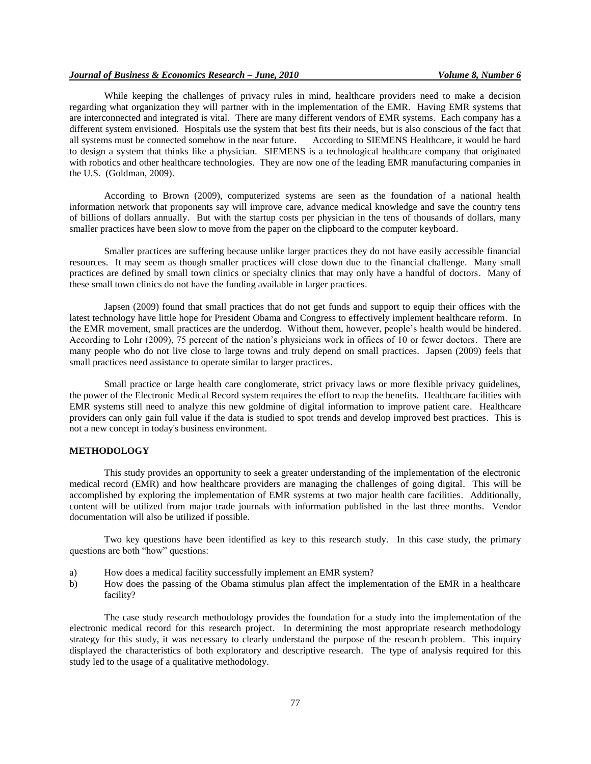While keeping the challenges of privacy rules in mind, healthcare providers need to make a decision regarding what organization they will partner with in the implementation of the EMR. Having EMR systems that are interconnected and integrated is vital. There are many different vendors of EMR systems. Each company has a different system envisioned. Hospitals use the system that best fits their needs, but is also conscious of the fact that all systems must be connected somehow in the near future. According to SIEMENS Healthcare, it would be hard to design a system that thinks like a physician. SIEMENS is a technological healthcare company that originated with robotics and other healthcare technologies. They are now one of the leading EMR manufacturing companies in the U.S. (Goldman, 2009).

According to Brown (2009), computerized systems are seen as the foundation of a national health information network that proponents say will improve care, advance medical knowledge and save the country tens of billions of dollars annually. But with the startup costs per physician in the tens of thousands of dollars, many smaller practices have been slow to move from the paper on the clipboard to the computer keyboard.

Smaller practices are suffering because unlike larger practices they do not have easily accessible financial resources. It may seem as though smaller practices will close down due to the financial challenge. Many small practices are defined by small town clinics or specialty clinics that may only have a handful of doctors. Many of these small town clinics do not have the funding available in larger practices.

Japsen (2009) found that small practices that do not get funds and support to equip their offices with the latest technology have little hope for President Obama and Congress to effectively implement healthcare reform. In the EMR movement, small practices are the underdog. Without them, however, people's health would be hindered. According to Lohr (2009), 75 percent of the nation's physicians work in offices of 10 or fewer doctors. There are many people who do not live close to large towns and truly depend on small practices. Japsen (2009) feels that small practices need assistance to operate similar to larger practices.

Small practice or large health care conglomerate, strict privacy laws or more flexible privacy guidelines, the power of the Electronic Medical Record system requires the effort to reap the benefits. Healthcare facilities with EMR systems still need to analyze this new goldmine of digital information to improve patient care. Healthcare providers can only gain full value if the data is studied to spot trends and develop improved best practices. This is not a new concept in today's business environment.

## **METHODOLOGY**

This study provides an opportunity to seek a greater understanding of the implementation of the electronic medical record (EMR) and how healthcare providers are managing the challenges of going digital. This will be accomplished by exploring the implementation of EMR systems at two major health care facilities. Additionally, content will be utilized from major trade journals with information published in the last three months. Vendor documentation will also be utilized if possible.

Two key questions have been identified as key to this research study. In this case study, the primary questions are both "how" questions:

- a) How does a medical facility successfully implement an EMR system?
- b) How does the passing of the Obama stimulus plan affect the implementation of the EMR in a healthcare facility?

The case study research methodology provides the foundation for a study into the implementation of the electronic medical record for this research project. In determining the most appropriate research methodology strategy for this study, it was necessary to clearly understand the purpose of the research problem. This inquiry displayed the characteristics of both exploratory and descriptive research. The type of analysis required for this study led to the usage of a qualitative methodology.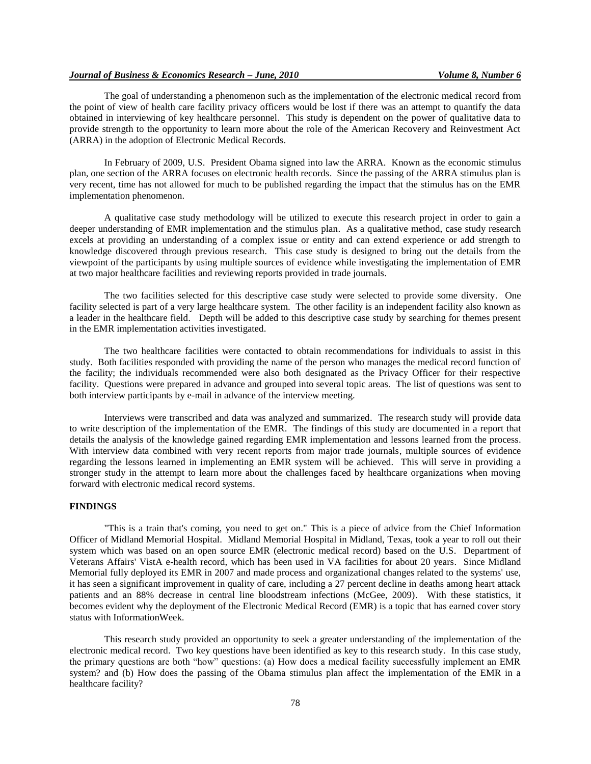The goal of understanding a phenomenon such as the implementation of the electronic medical record from the point of view of health care facility privacy officers would be lost if there was an attempt to quantify the data obtained in interviewing of key healthcare personnel. This study is dependent on the power of qualitative data to provide strength to the opportunity to learn more about the role of the American Recovery and Reinvestment Act (ARRA) in the adoption of Electronic Medical Records.

In February of 2009, U.S. President Obama signed into law the ARRA. Known as the economic stimulus plan, one section of the ARRA focuses on electronic health records. Since the passing of the ARRA stimulus plan is very recent, time has not allowed for much to be published regarding the impact that the stimulus has on the EMR implementation phenomenon.

A qualitative case study methodology will be utilized to execute this research project in order to gain a deeper understanding of EMR implementation and the stimulus plan. As a qualitative method, case study research excels at providing an understanding of a complex issue or entity and can extend experience or add strength to knowledge discovered through previous research. This case study is designed to bring out the details from the viewpoint of the participants by using multiple sources of evidence while investigating the implementation of EMR at two major healthcare facilities and reviewing reports provided in trade journals.

The two facilities selected for this descriptive case study were selected to provide some diversity. One facility selected is part of a very large healthcare system. The other facility is an independent facility also known as a leader in the healthcare field. Depth will be added to this descriptive case study by searching for themes present in the EMR implementation activities investigated.

The two healthcare facilities were contacted to obtain recommendations for individuals to assist in this study. Both facilities responded with providing the name of the person who manages the medical record function of the facility; the individuals recommended were also both designated as the Privacy Officer for their respective facility. Questions were prepared in advance and grouped into several topic areas. The list of questions was sent to both interview participants by e-mail in advance of the interview meeting.

Interviews were transcribed and data was analyzed and summarized. The research study will provide data to write description of the implementation of the EMR. The findings of this study are documented in a report that details the analysis of the knowledge gained regarding EMR implementation and lessons learned from the process. With interview data combined with very recent reports from major trade journals, multiple sources of evidence regarding the lessons learned in implementing an EMR system will be achieved. This will serve in providing a stronger study in the attempt to learn more about the challenges faced by healthcare organizations when moving forward with electronic medical record systems.

#### **FINDINGS**

"This is a train that's coming, you need to get on." This is a piece of advice from the Chief Information Officer of Midland Memorial Hospital. Midland Memorial Hospital in Midland, Texas, took a year to roll out their system which was based on an open source EMR (electronic medical record) based on the U.S. Department of Veterans Affairs' VistA e-health record, which has been used in VA facilities for about 20 years. Since Midland Memorial fully deployed its EMR in 2007 and made process and organizational changes related to the systems' use, it has seen a significant improvement in quality of care, including a 27 percent decline in deaths among heart attack patients and an 88% decrease in central line bloodstream infections (McGee, 2009). With these statistics, it becomes evident why the deployment of the Electronic Medical Record (EMR) is a topic that has earned cover story status with InformationWeek.

This research study provided an opportunity to seek a greater understanding of the implementation of the electronic medical record. Two key questions have been identified as key to this research study. In this case study, the primary questions are both "how" questions: (a) How does a medical facility successfully implement an EMR system? and (b) How does the passing of the Obama stimulus plan affect the implementation of the EMR in a healthcare facility?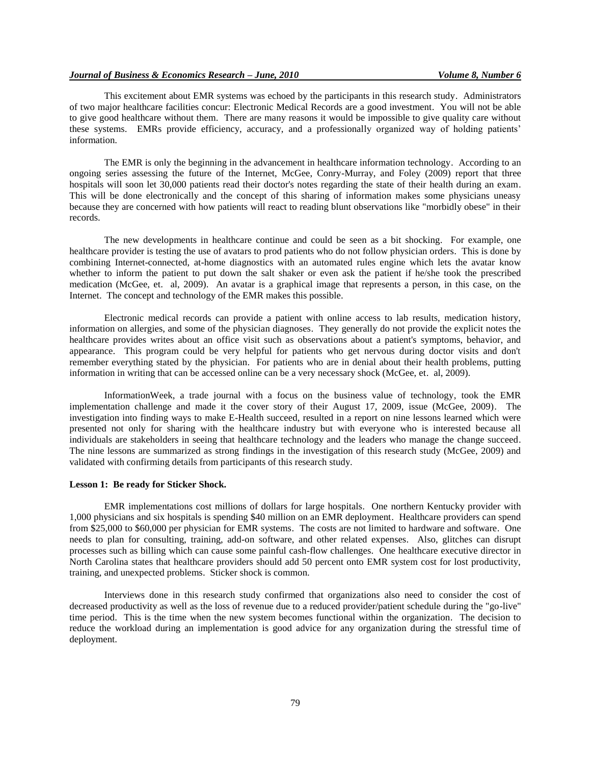This excitement about EMR systems was echoed by the participants in this research study. Administrators of two major healthcare facilities concur: Electronic Medical Records are a good investment. You will not be able to give good healthcare without them. There are many reasons it would be impossible to give quality care without these systems. EMRs provide efficiency, accuracy, and a professionally organized way of holding patients' information.

The EMR is only the beginning in the advancement in healthcare information technology. According to an ongoing series assessing the future of the Internet, McGee, Conry-Murray, and Foley (2009) report that three hospitals will soon let 30,000 patients read their doctor's notes regarding the state of their health during an exam. This will be done electronically and the concept of this sharing of information makes some physicians uneasy because they are concerned with how patients will react to reading blunt observations like "morbidly obese" in their records.

The new developments in healthcare continue and could be seen as a bit shocking. For example, one healthcare provider is testing the use of avatars to prod patients who do not follow physician orders. This is done by combining Internet-connected, at-home diagnostics with an automated rules engine which lets the avatar know whether to inform the patient to put down the salt shaker or even ask the patient if he/she took the prescribed medication (McGee, et. al, 2009). An avatar is a graphical image that represents a person, in this case, on the Internet. The concept and technology of the EMR makes this possible.

Electronic medical records can provide a patient with online access to lab results, medication history, information on allergies, and some of the physician diagnoses. They generally do not provide the explicit notes the healthcare provides writes about an office visit such as observations about a patient's symptoms, behavior, and appearance. This program could be very helpful for patients who get nervous during doctor visits and don't remember everything stated by the physician. For patients who are in denial about their health problems, putting information in writing that can be accessed online can be a very necessary shock (McGee, et. al, 2009).

InformationWeek, a trade journal with a focus on the business value of technology, took the EMR implementation challenge and made it the cover story of their August 17, 2009, issue (McGee, 2009). The investigation into finding ways to make E-Health succeed, resulted in a report on nine lessons learned which were presented not only for sharing with the healthcare industry but with everyone who is interested because all individuals are stakeholders in seeing that healthcare technology and the leaders who manage the change succeed. The nine lessons are summarized as strong findings in the investigation of this research study (McGee, 2009) and validated with confirming details from participants of this research study.

#### **Lesson 1: Be ready for Sticker Shock.**

EMR implementations cost millions of dollars for large hospitals. One northern Kentucky provider with 1,000 physicians and six hospitals is spending \$40 million on an EMR deployment. Healthcare providers can spend from \$25,000 to \$60,000 per physician for EMR systems. The costs are not limited to hardware and software. One needs to plan for consulting, training, add-on software, and other related expenses. Also, glitches can disrupt processes such as billing which can cause some painful cash-flow challenges. One healthcare executive director in North Carolina states that healthcare providers should add 50 percent onto EMR system cost for lost productivity, training, and unexpected problems. Sticker shock is common.

Interviews done in this research study confirmed that organizations also need to consider the cost of decreased productivity as well as the loss of revenue due to a reduced provider/patient schedule during the "go-live" time period. This is the time when the new system becomes functional within the organization. The decision to reduce the workload during an implementation is good advice for any organization during the stressful time of deployment.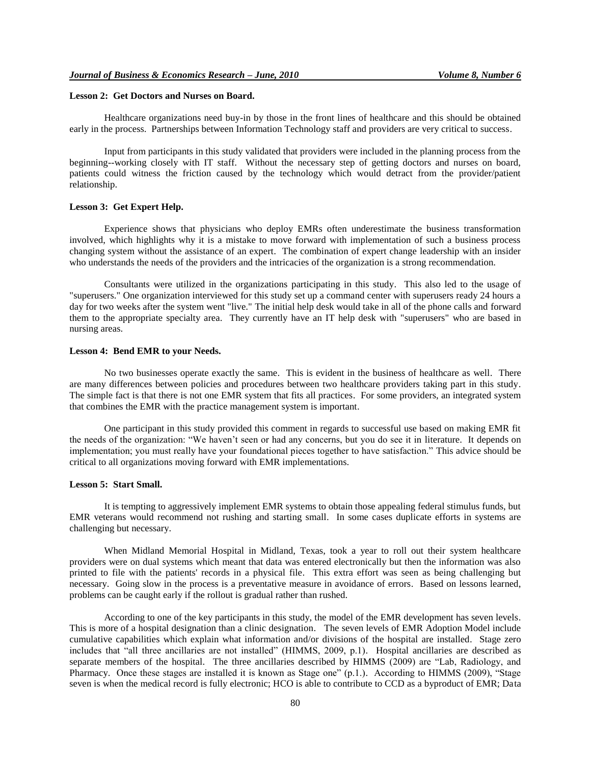## **Lesson 2: Get Doctors and Nurses on Board.**

Healthcare organizations need buy-in by those in the front lines of healthcare and this should be obtained early in the process. Partnerships between Information Technology staff and providers are very critical to success.

Input from participants in this study validated that providers were included in the planning process from the beginning--working closely with IT staff. Without the necessary step of getting doctors and nurses on board, patients could witness the friction caused by the technology which would detract from the provider/patient relationship.

## **Lesson 3: Get Expert Help.**

Experience shows that physicians who deploy EMRs often underestimate the business transformation involved, which highlights why it is a mistake to move forward with implementation of such a business process changing system without the assistance of an expert. The combination of expert change leadership with an insider who understands the needs of the providers and the intricacies of the organization is a strong recommendation.

Consultants were utilized in the organizations participating in this study. This also led to the usage of "superusers." One organization interviewed for this study set up a command center with superusers ready 24 hours a day for two weeks after the system went "live." The initial help desk would take in all of the phone calls and forward them to the appropriate specialty area. They currently have an IT help desk with "superusers" who are based in nursing areas.

#### **Lesson 4: Bend EMR to your Needs.**

No two businesses operate exactly the same. This is evident in the business of healthcare as well. There are many differences between policies and procedures between two healthcare providers taking part in this study. The simple fact is that there is not one EMR system that fits all practices. For some providers, an integrated system that combines the EMR with the practice management system is important.

One participant in this study provided this comment in regards to successful use based on making EMR fit the needs of the organization: "We haven't seen or had any concerns, but you do see it in literature. It depends on implementation; you must really have your foundational pieces together to have satisfaction." This advice should be critical to all organizations moving forward with EMR implementations.

#### **Lesson 5: Start Small.**

It is tempting to aggressively implement EMR systems to obtain those appealing federal stimulus funds, but EMR veterans would recommend not rushing and starting small. In some cases duplicate efforts in systems are challenging but necessary.

When Midland Memorial Hospital in Midland, Texas, took a year to roll out their system healthcare providers were on dual systems which meant that data was entered electronically but then the information was also printed to file with the patients' records in a physical file. This extra effort was seen as being challenging but necessary. Going slow in the process is a preventative measure in avoidance of errors. Based on lessons learned, problems can be caught early if the rollout is gradual rather than rushed.

According to one of the key participants in this study, the model of the EMR development has seven levels. This is more of a hospital designation than a clinic designation. The seven levels of EMR Adoption Model include cumulative capabilities which explain what information and/or divisions of the hospital are installed. Stage zero includes that "all three ancillaries are not installed" (HIMMS, 2009, p.1). Hospital ancillaries are described as separate members of the hospital. The three ancillaries described by HIMMS (2009) are "Lab, Radiology, and Pharmacy. Once these stages are installed it is known as Stage one" (p.1.). According to HIMMS (2009), "Stage seven is when the medical record is fully electronic; HCO is able to contribute to CCD as a byproduct of EMR; Data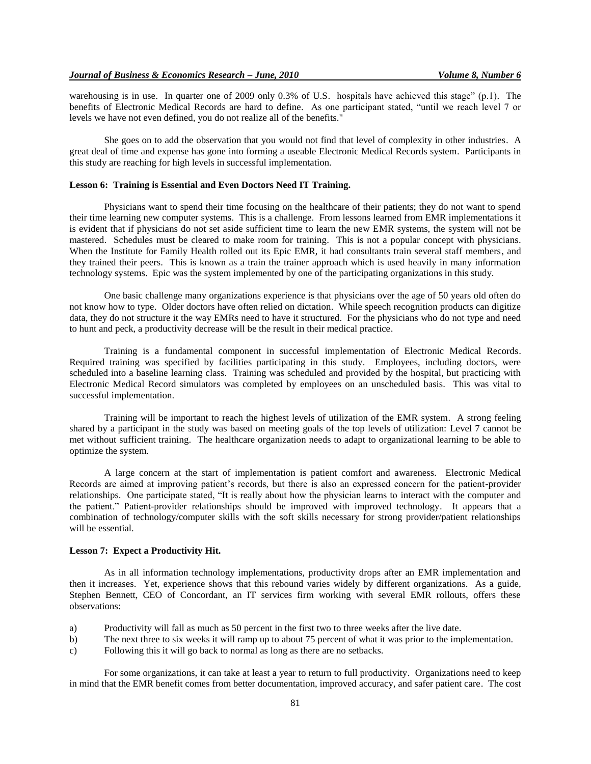warehousing is in use. In quarter one of 2009 only 0.3% of U.S. hospitals have achieved this stage" (p.1). The benefits of Electronic Medical Records are hard to define. As one participant stated, "until we reach level 7 or levels we have not even defined, you do not realize all of the benefits."

She goes on to add the observation that you would not find that level of complexity in other industries. A great deal of time and expense has gone into forming a useable Electronic Medical Records system. Participants in this study are reaching for high levels in successful implementation.

## **Lesson 6: Training is Essential and Even Doctors Need IT Training.**

Physicians want to spend their time focusing on the healthcare of their patients; they do not want to spend their time learning new computer systems. This is a challenge. From lessons learned from EMR implementations it is evident that if physicians do not set aside sufficient time to learn the new EMR systems, the system will not be mastered. Schedules must be cleared to make room for training. This is not a popular concept with physicians. When the Institute for Family Health rolled out its Epic EMR, it had consultants train several staff members, and they trained their peers. This is known as a train the trainer approach which is used heavily in many information technology systems. Epic was the system implemented by one of the participating organizations in this study.

One basic challenge many organizations experience is that physicians over the age of 50 years old often do not know how to type. Older doctors have often relied on dictation. While speech recognition products can digitize data, they do not structure it the way EMRs need to have it structured. For the physicians who do not type and need to hunt and peck, a productivity decrease will be the result in their medical practice.

Training is a fundamental component in successful implementation of Electronic Medical Records. Required training was specified by facilities participating in this study. Employees, including doctors, were scheduled into a baseline learning class. Training was scheduled and provided by the hospital, but practicing with Electronic Medical Record simulators was completed by employees on an unscheduled basis. This was vital to successful implementation.

Training will be important to reach the highest levels of utilization of the EMR system. A strong feeling shared by a participant in the study was based on meeting goals of the top levels of utilization: Level 7 cannot be met without sufficient training. The healthcare organization needs to adapt to organizational learning to be able to optimize the system.

A large concern at the start of implementation is patient comfort and awareness. Electronic Medical Records are aimed at improving patient's records, but there is also an expressed concern for the patient-provider relationships. One participate stated, "It is really about how the physician learns to interact with the computer and the patient." Patient-provider relationships should be improved with improved technology. It appears that a combination of technology/computer skills with the soft skills necessary for strong provider/patient relationships will be essential.

#### **Lesson 7: Expect a Productivity Hit.**

As in all information technology implementations, productivity drops after an EMR implementation and then it increases. Yet, experience shows that this rebound varies widely by different organizations. As a guide, Stephen Bennett, CEO of Concordant, an IT services firm working with several EMR rollouts, offers these observations:

- a) Productivity will fall as much as 50 percent in the first two to three weeks after the live date.
- b) The next three to six weeks it will ramp up to about 75 percent of what it was prior to the implementation.
- c) Following this it will go back to normal as long as there are no setbacks.

For some organizations, it can take at least a year to return to full productivity. Organizations need to keep in mind that the EMR benefit comes from better documentation, improved accuracy, and safer patient care. The cost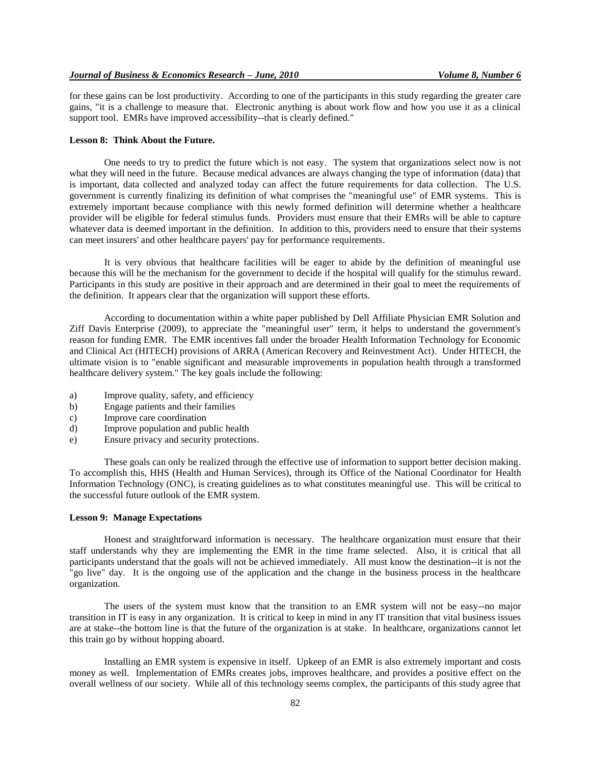for these gains can be lost productivity. According to one of the participants in this study regarding the greater care gains, "it is a challenge to measure that. Electronic anything is about work flow and how you use it as a clinical support tool. EMRs have improved accessibility--that is clearly defined."

#### **Lesson 8: Think About the Future.**

One needs to try to predict the future which is not easy. The system that organizations select now is not what they will need in the future. Because medical advances are always changing the type of information (data) that is important, data collected and analyzed today can affect the future requirements for data collection. The U.S. government is currently finalizing its definition of what comprises the "meaningful use" of EMR systems. This is extremely important because compliance with this newly formed definition will determine whether a healthcare provider will be eligible for federal stimulus funds. Providers must ensure that their EMRs will be able to capture whatever data is deemed important in the definition. In addition to this, providers need to ensure that their systems can meet insurers' and other healthcare payers' pay for performance requirements.

It is very obvious that healthcare facilities will be eager to abide by the definition of meaningful use because this will be the mechanism for the government to decide if the hospital will qualify for the stimulus reward. Participants in this study are positive in their approach and are determined in their goal to meet the requirements of the definition. It appears clear that the organization will support these efforts.

According to documentation within a white paper published by Dell Affiliate Physician EMR Solution and Ziff Davis Enterprise (2009), to appreciate the "meaningful user" term, it helps to understand the government's reason for funding EMR. The EMR incentives fall under the broader Health Information Technology for Economic and Clinical Act (HITECH) provisions of ARRA (American Recovery and Reinvestment Act). Under HITECH, the ultimate vision is to "enable significant and measurable improvements in population health through a transformed healthcare delivery system." The key goals include the following:

- a) Improve quality, safety, and efficiency
- b) Engage patients and their families
- c) Improve care coordination
- d) Improve population and public health
- e) Ensure privacy and security protections.

These goals can only be realized through the effective use of information to support better decision making. To accomplish this, HHS (Health and Human Services), through its Office of the National Coordinator for Health Information Technology (ONC), is creating guidelines as to what constitutes meaningful use. This will be critical to the successful future outlook of the EMR system.

#### **Lesson 9: Manage Expectations**

Honest and straightforward information is necessary. The healthcare organization must ensure that their staff understands why they are implementing the EMR in the time frame selected. Also, it is critical that all participants understand that the goals will not be achieved immediately. All must know the destination--it is not the "go live" day. It is the ongoing use of the application and the change in the business process in the healthcare organization.

The users of the system must know that the transition to an EMR system will not be easy--no major transition in IT is easy in any organization. It is critical to keep in mind in any IT transition that vital business issues are at stake--the bottom line is that the future of the organization is at stake. In healthcare, organizations cannot let this train go by without hopping aboard.

Installing an EMR system is expensive in itself. Upkeep of an EMR is also extremely important and costs money as well. Implementation of EMRs creates jobs, improves healthcare, and provides a positive effect on the overall wellness of our society. While all of this technology seems complex, the participants of this study agree that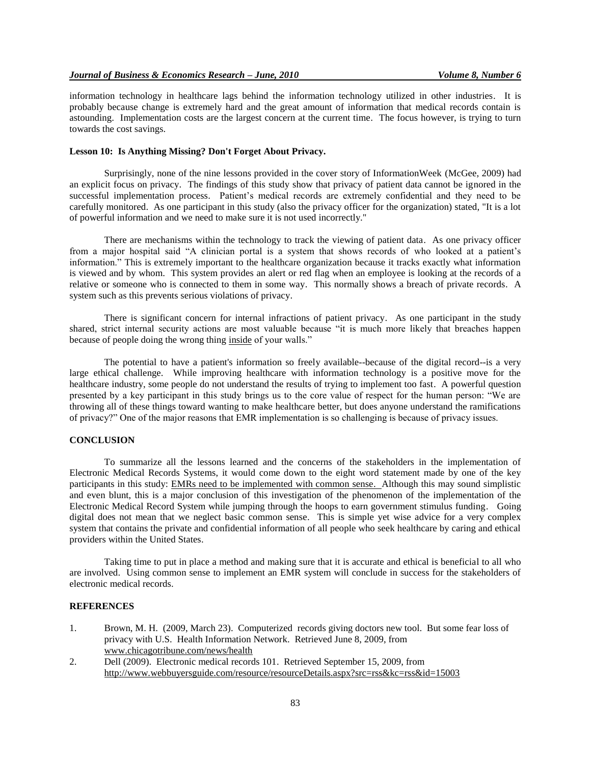information technology in healthcare lags behind the information technology utilized in other industries. It is probably because change is extremely hard and the great amount of information that medical records contain is astounding. Implementation costs are the largest concern at the current time. The focus however, is trying to turn towards the cost savings.

# **Lesson 10: Is Anything Missing? Don't Forget About Privacy.**

Surprisingly, none of the nine lessons provided in the cover story of InformationWeek (McGee, 2009) had an explicit focus on privacy. The findings of this study show that privacy of patient data cannot be ignored in the successful implementation process. Patient's medical records are extremely confidential and they need to be carefully monitored. As one participant in this study (also the privacy officer for the organization) stated, "It is a lot of powerful information and we need to make sure it is not used incorrectly."

There are mechanisms within the technology to track the viewing of patient data. As one privacy officer from a major hospital said "A clinician portal is a system that shows records of who looked at a patient's information." This is extremely important to the healthcare organization because it tracks exactly what information is viewed and by whom. This system provides an alert or red flag when an employee is looking at the records of a relative or someone who is connected to them in some way. This normally shows a breach of private records. A system such as this prevents serious violations of privacy.

There is significant concern for internal infractions of patient privacy. As one participant in the study shared, strict internal security actions are most valuable because "it is much more likely that breaches happen because of people doing the wrong thing inside of your walls."

The potential to have a patient's information so freely available--because of the digital record--is a very large ethical challenge. While improving healthcare with information technology is a positive move for the healthcare industry, some people do not understand the results of trying to implement too fast. A powerful question presented by a key participant in this study brings us to the core value of respect for the human person: "We are throwing all of these things toward wanting to make healthcare better, but does anyone understand the ramifications of privacy?" One of the major reasons that EMR implementation is so challenging is because of privacy issues.

## **CONCLUSION**

To summarize all the lessons learned and the concerns of the stakeholders in the implementation of Electronic Medical Records Systems, it would come down to the eight word statement made by one of the key participants in this study: EMRs need to be implemented with common sense. Although this may sound simplistic and even blunt, this is a major conclusion of this investigation of the phenomenon of the implementation of the Electronic Medical Record System while jumping through the hoops to earn government stimulus funding. Going digital does not mean that we neglect basic common sense. This is simple yet wise advice for a very complex system that contains the private and confidential information of all people who seek healthcare by caring and ethical providers within the United States.

Taking time to put in place a method and making sure that it is accurate and ethical is beneficial to all who are involved. Using common sense to implement an EMR system will conclude in success for the stakeholders of electronic medical records.

#### **REFERENCES**

- 1. Brown, M. H. (2009, March 23). Computerized records giving doctors new tool. But some fear loss of privacy with U.S. Health Information Network. Retrieved June 8, 2009, from www.chicagotribune.com/news/health
- 2. Dell (2009). Electronic medical records 101. Retrieved September 15, 2009, from <http://www.webbuyersguide.com/resource/resourceDetails.aspx?src=rss&kc=rss&id=15003>